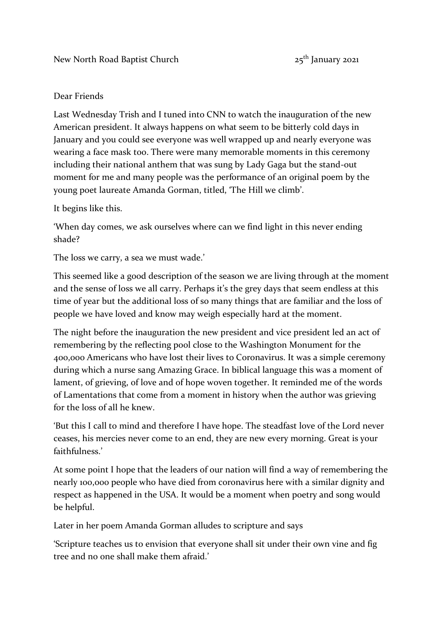## Dear Friends

Last Wednesday Trish and I tuned into CNN to watch the inauguration of the new American president. It always happens on what seem to be bitterly cold days in January and you could see everyone was well wrapped up and nearly everyone was wearing a face mask too. There were many memorable moments in this ceremony including their national anthem that was sung by Lady Gaga but the stand-out moment for me and many people was the performance of an original poem by the young poet laureate Amanda Gorman, titled, 'The Hill we climb'.

It begins like this.

'When day comes, we ask ourselves where can we find light in this never ending shade?

The loss we carry, a sea we must wade.'

This seemed like a good description of the season we are living through at the moment and the sense of loss we all carry. Perhaps it's the grey days that seem endless at this time of year but the additional loss of so many things that are familiar and the loss of people we have loved and know may weigh especially hard at the moment.

The night before the inauguration the new president and vice president led an act of remembering by the reflecting pool close to the Washington Monument for the 400,000 Americans who have lost their lives to Coronavirus. It was a simple ceremony during which a nurse sang Amazing Grace. In biblical language this was a moment of lament, of grieving, of love and of hope woven together. It reminded me of the words of Lamentations that come from a moment in history when the author was grieving for the loss of all he knew.

'But this I call to mind and therefore I have hope. The steadfast love of the Lord never ceases, his mercies never come to an end, they are new every morning. Great is your faithfulness.'

At some point I hope that the leaders of our nation will find a way of remembering the nearly 100,000 people who have died from coronavirus here with a similar dignity and respect as happened in the USA. It would be a moment when poetry and song would be helpful.

Later in her poem Amanda Gorman alludes to scripture and says

'Scripture teaches us to envision that everyone shall sit under their own vine and fig tree and no one shall make them afraid.'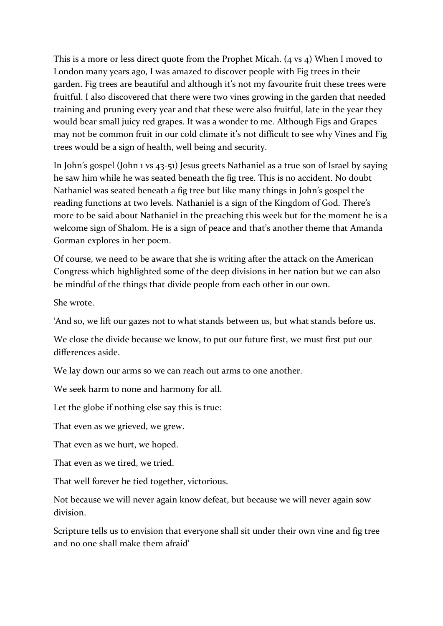This is a more or less direct quote from the Prophet Micah. (4 vs 4) When I moved to London many years ago, I was amazed to discover people with Fig trees in their garden. Fig trees are beautiful and although it's not my favourite fruit these trees were fruitful. I also discovered that there were two vines growing in the garden that needed training and pruning every year and that these were also fruitful, late in the year they would bear small juicy red grapes. It was a wonder to me. Although Figs and Grapes may not be common fruit in our cold climate it's not difficult to see why Vines and Fig trees would be a sign of health, well being and security.

In John's gospel (John 1 vs 43-51) Jesus greets Nathaniel as a true son of Israel by saying he saw him while he was seated beneath the fig tree. This is no accident. No doubt Nathaniel was seated beneath a fig tree but like many things in John's gospel the reading functions at two levels. Nathaniel is a sign of the Kingdom of God. There's more to be said about Nathaniel in the preaching this week but for the moment he is a welcome sign of Shalom. He is a sign of peace and that's another theme that Amanda Gorman explores in her poem.

Of course, we need to be aware that she is writing after the attack on the American Congress which highlighted some of the deep divisions in her nation but we can also be mindful of the things that divide people from each other in our own.

She wrote.

'And so, we lift our gazes not to what stands between us, but what stands before us.

We close the divide because we know, to put our future first, we must first put our differences aside.

We lay down our arms so we can reach out arms to one another.

We seek harm to none and harmony for all.

Let the globe if nothing else say this is true:

That even as we grieved, we grew.

That even as we hurt, we hoped.

That even as we tired, we tried.

That well forever be tied together, victorious.

Not because we will never again know defeat, but because we will never again sow division.

Scripture tells us to envision that everyone shall sit under their own vine and fig tree and no one shall make them afraid'